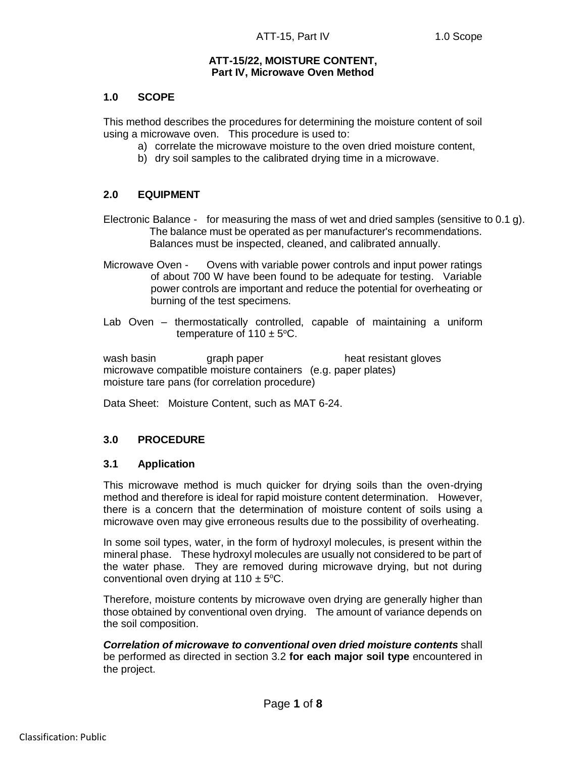## **ATT-15/22, MOISTURE CONTENT, Part IV, Microwave Oven Method**

## **1.0 SCOPE**

This method describes the procedures for determining the moisture content of soil using a microwave oven. This procedure is used to:

- a) correlate the microwave moisture to the oven dried moisture content,
- b) dry soil samples to the calibrated drying time in a microwave.

# **2.0 EQUIPMENT**

Electronic Balance - for measuring the mass of wet and dried samples (sensitive to 0.1 g). The balance must be operated as per manufacturer's recommendations. Balances must be inspected, cleaned, and calibrated annually.

- Microwave Oven Ovens with variable power controls and input power ratings of about 700 W have been found to be adequate for testing. Variable power controls are important and reduce the potential for overheating or burning of the test specimens.
- Lab Oven thermostatically controlled, capable of maintaining a uniform temperature of  $110 \pm 5$ °C.

wash basin **graph paper** heat resistant gloves microwave compatible moisture containers (e.g. paper plates) moisture tare pans (for correlation procedure)

Data Sheet: Moisture Content, such as MAT 6-24.

## **3.0 PROCEDURE**

## **3.1 Application**

This microwave method is much quicker for drying soils than the oven-drying method and therefore is ideal for rapid moisture content determination. However, there is a concern that the determination of moisture content of soils using a microwave oven may give erroneous results due to the possibility of overheating.

In some soil types, water, in the form of hydroxyl molecules, is present within the mineral phase. These hydroxyl molecules are usually not considered to be part of the water phase. They are removed during microwave drying, but not during conventional oven drying at  $110 \pm 5^{\circ}$ C.

Therefore, moisture contents by microwave oven drying are generally higher than those obtained by conventional oven drying. The amount of variance depends on the soil composition.

*Correlation of microwave to conventional oven dried moisture contents* shall be performed as directed in section 3.2 **for each major soil type** encountered in the project.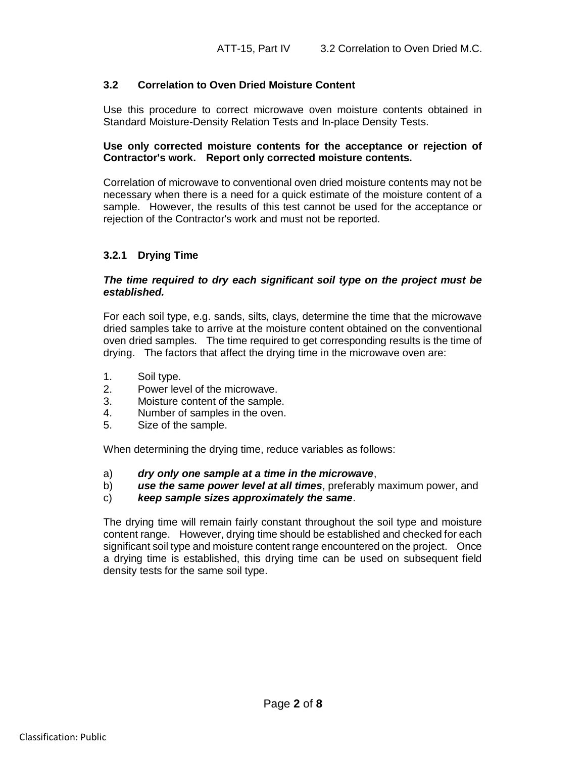## **3.2 Correlation to Oven Dried Moisture Content**

Use this procedure to correct microwave oven moisture contents obtained in Standard Moisture-Density Relation Tests and In-place Density Tests.

## **Use only corrected moisture contents for the acceptance or rejection of Contractor's work. Report only corrected moisture contents.**

Correlation of microwave to conventional oven dried moisture contents may not be necessary when there is a need for a quick estimate of the moisture content of a sample. However, the results of this test cannot be used for the acceptance or rejection of the Contractor's work and must not be reported.

# **3.2.1 Drying Time**

## *The time required to dry each significant soil type on the project must be established.*

For each soil type, e.g. sands, silts, clays, determine the time that the microwave dried samples take to arrive at the moisture content obtained on the conventional oven dried samples. The time required to get corresponding results is the time of drying. The factors that affect the drying time in the microwave oven are:

- 1. Soil type.
- 2. Power level of the microwave.
- 3. Moisture content of the sample.
- 4. Number of samples in the oven.
- 5. Size of the sample.

When determining the drying time, reduce variables as follows:

- a) *dry only one sample at a time in the microwave*,
- b) *use the same power level at all times*, preferably maximum power, and
- c) *keep sample sizes approximately the same*.

The drying time will remain fairly constant throughout the soil type and moisture content range. However, drying time should be established and checked for each significant soil type and moisture content range encountered on the project. Once a drying time is established, this drying time can be used on subsequent field density tests for the same soil type.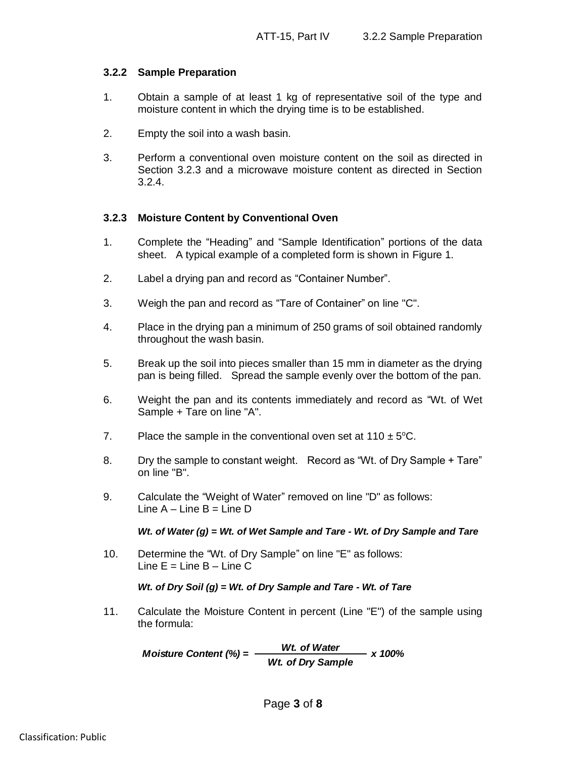## **3.2.2 Sample Preparation**

- 1. Obtain a sample of at least 1 kg of representative soil of the type and moisture content in which the drying time is to be established.
- 2. Empty the soil into a wash basin.
- 3. Perform a conventional oven moisture content on the soil as directed in Section 3.2.3 and a microwave moisture content as directed in Section 3.2.4.

## **3.2.3 Moisture Content by Conventional Oven**

- 1. Complete the "Heading" and "Sample Identification" portions of the data sheet. A typical example of a completed form is shown in Figure 1.
- 2. Label a drying pan and record as "Container Number".
- 3. Weigh the pan and record as "Tare of Container" on line "C".
- 4. Place in the drying pan a minimum of 250 grams of soil obtained randomly throughout the wash basin.
- 5. Break up the soil into pieces smaller than 15 mm in diameter as the drying pan is being filled. Spread the sample evenly over the bottom of the pan.
- 6. Weight the pan and its contents immediately and record as "Wt. of Wet Sample + Tare on line "A".
- 7. Place the sample in the conventional oven set at  $110 \pm 5^{\circ}$ C.
- 8. Dry the sample to constant weight. Record as "Wt. of Dry Sample + Tare" on line "B".
- 9. Calculate the "Weight of Water" removed on line "D" as follows: Line  $A -$ Line  $B =$ Line  $D$

#### *Wt. of Water (g) = Wt. of Wet Sample and Tare - Wt. of Dry Sample and Tare*

10. Determine the "Wt. of Dry Sample" on line "E" as follows: Line  $E =$  Line  $B -$  Line  $C$ 

#### *Wt. of Dry Soil (g) = Wt. of Dry Sample and Tare - Wt. of Tare*

11. Calculate the Moisture Content in percent (Line "E") of the sample using the formula:

> *Moisture Content (%) = Wt. of Water x 100% Wt. of Dry Sample*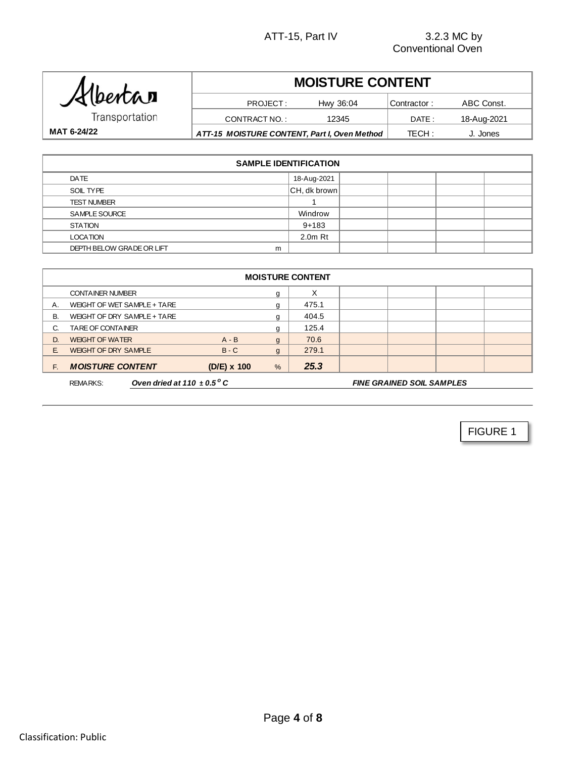| Albertan       |  |
|----------------|--|
| Transportation |  |

# **MOISTURE CONTENT**

Contractor : DATE : TECH : **MAT 6-24/22 ATT-15 MOISTURE CONTENT, Part I, Oven Method** TECH: J. Jones PROJECT: Hwy 36:04 Contractor: ABC Const. CONTRACT NO.: 12345 DATE: 18-Aug-2021

| <b>SAMPLE IDENTIFICATION</b>   |                 |  |  |  |  |  |  |
|--------------------------------|-----------------|--|--|--|--|--|--|
| DATE                           | 18-Aug-2021     |  |  |  |  |  |  |
| SOIL TYPE                      | $ CH, dk$ brown |  |  |  |  |  |  |
| <b>TEST NUMBER</b>             |                 |  |  |  |  |  |  |
| SAMPLE SOURCE                  | Windrow         |  |  |  |  |  |  |
| <b>STATION</b>                 | $9 + 183$       |  |  |  |  |  |  |
| <b>LOCATION</b>                | $2.0m$ Rt       |  |  |  |  |  |  |
| DEPTH BELOW GRADE OR LIFT<br>m |                 |  |  |  |  |  |  |

|           | <b>MOISTURE CONTENT</b>                                                                                  |  |                    |               |       |  |  |  |  |
|-----------|----------------------------------------------------------------------------------------------------------|--|--------------------|---------------|-------|--|--|--|--|
|           | <b>CONTAINER NUMBER</b>                                                                                  |  |                    | g             | X     |  |  |  |  |
| Α.        | WEIGHT OF WET SAMPLE + TARE                                                                              |  |                    | g             | 475.1 |  |  |  |  |
| <b>B.</b> | WEIGHT OF DRY SAMPLE + TARE                                                                              |  |                    | g             | 404.5 |  |  |  |  |
| C.        | <b>TARE OF CONTAINER</b>                                                                                 |  |                    | g             | 125.4 |  |  |  |  |
| D.        | <b>WEIGHT OF WATER</b>                                                                                   |  | $A - B$            | $\mathbf{g}$  | 70.6  |  |  |  |  |
| E.        | <b>WEIGHT OF DRY SAMPLE</b>                                                                              |  | $B - C$            | g             | 279.1 |  |  |  |  |
| E.        | <b>MOISTURE CONTENT</b>                                                                                  |  | $(D/E) \times 100$ | $\frac{9}{6}$ | 25.3  |  |  |  |  |
|           | Oven dried at 110 $\pm$ 0.5 $\mathrm{^{\circ} C}$<br><b>FINE GRAINED SOIL SAMPLES</b><br><b>REMARKS:</b> |  |                    |               |       |  |  |  |  |

FIGURE 1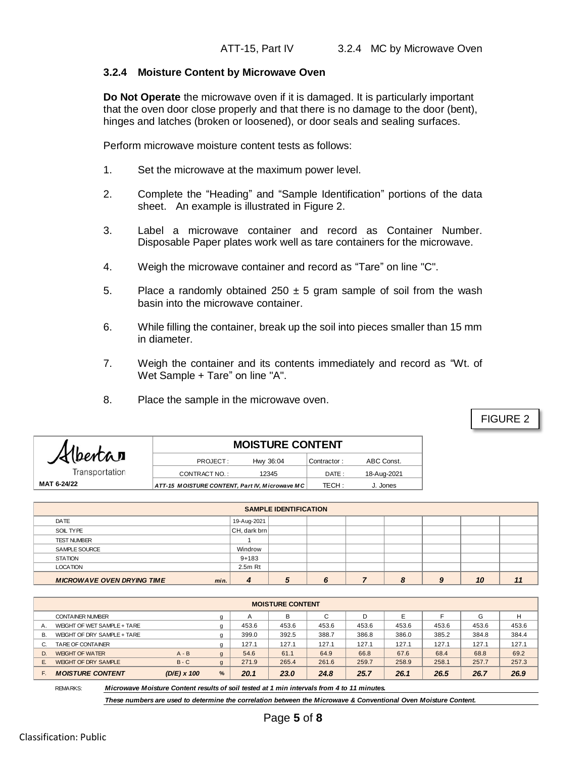## **3.2.4 Moisture Content by Microwave Oven**

**Do Not Operate** the microwave oven if it is damaged. It is particularly important that the oven door close properly and that there is no damage to the door (bent), hinges and latches (broken or loosened), or door seals and sealing surfaces.

Perform microwave moisture content tests as follows:

- 1. Set the microwave at the maximum power level.
- 2. Complete the "Heading" and "Sample Identification" portions of the data sheet. An example is illustrated in Figure 2.
- 3. Label a microwave container and record as Container Number. Disposable Paper plates work well as tare containers for the microwave.
- 4. Weigh the microwave container and record as "Tare" on line "C".
- 5. Place a randomly obtained  $250 \pm 5$  gram sample of soil from the wash basin into the microwave container.
- 6. While filling the container, break up the soil into pieces smaller than 15 mm in diameter.
- 7. Weigh the container and its contents immediately and record as "Wt. of Wet Sample + Tare" on line "A".
- 8. Place the sample in the microwave oven.

FIGURE 2

| Albertan       | <b>MOISTURE CONTENT</b>                         |             |             |  |  |  |  |  |
|----------------|-------------------------------------------------|-------------|-------------|--|--|--|--|--|
|                | Hwy 36:04<br>PROJECT:                           | Contractor: | ABC Const.  |  |  |  |  |  |
| Transportation | CONTRACT NO.:<br>12345                          | DATE:       | 18-Aug-2021 |  |  |  |  |  |
| MAT 6-24/22    | ATT-15 M OISTURE CONTENT, Part IV, Microwave MC | TECH:       | J. Jones    |  |  |  |  |  |
|                |                                                 |             |             |  |  |  |  |  |

| <b>SAMPLE IDENTIFICATION</b>              |                     |   |  |  |   |   |    |  |
|-------------------------------------------|---------------------|---|--|--|---|---|----|--|
| DATE                                      | 19-Aug-2021         |   |  |  |   |   |    |  |
| SOIL TYPE                                 | $ CH,$ dark brn $ $ |   |  |  |   |   |    |  |
| <b>TEST NUMBER</b>                        |                     |   |  |  |   |   |    |  |
| <b>SAMPLE SOURCE</b>                      | Windrow             |   |  |  |   |   |    |  |
| <b>STATION</b>                            | $9 + 183$           |   |  |  |   |   |    |  |
| <b>LOCATION</b>                           | $2.5m$ Rt           |   |  |  |   |   |    |  |
| <b>MICROWAVE OVEN DRYING TIME</b><br>min. | $\boldsymbol{a}$    | 5 |  |  | 8 | 9 | 10 |  |

|    | <b>WICKOWAYE OVEN DRING INC.</b> |               | ,,,,,,,        | -     | $\cdot$ | $\mathbf v$ |       | $\bm\omega$ | $\sim$ | 1 V   | ,,,   |
|----|----------------------------------|---------------|----------------|-------|---------|-------------|-------|-------------|--------|-------|-------|
|    |                                  |               |                |       |         |             |       |             |        |       |       |
|    | <b>MOISTURE CONTENT</b>          |               |                |       |         |             |       |             |        |       |       |
|    | <b>CONTAINER NUMBER</b>          |               | g              | A     | B       | C           | D     | E           |        | G     | H     |
| Α. | WEIGHT OF WET SAMPLE + TARE      |               | a              | 453.6 | 453.6   | 453.6       | 453.6 | 453.6       | 453.6  | 453.6 | 453.6 |
| В. | WEIGHT OF DRY SAMPLE + TARE      |               | q              | 399.0 | 392.5   | 388.7       | 386.8 | 386.0       | 385.2  | 384.8 | 384.4 |
|    | TARE OF CONTAINER                |               | a              | 127.1 | 127.1   | 127.1       | 127.1 | 127.1       | 127.1  | 127.1 | 127.1 |
| D. | <b>WEIGHT OF WATER</b>           | $A - B$       | q              | 54.6  | 61.1    | 64.9        | 66.8  | 67.6        | 68.4   | 68.8  | 69.2  |
| Е. | <b>WEIGHT OF DRY SAMPLE</b>      | $B - C$       | $\mathfrak{g}$ | 271.9 | 265.4   | 261.6       | 259.7 | 258.9       | 258.1  | 257.7 | 257.3 |
|    | <b>MOISTURE CONTENT</b>          | $(D/E)$ x 100 | %              | 20.1  | 23.0    | 24.8        | 25.7  | 26.1        | 26.5   | 26.7  | 26.9  |

REMARKS:

*Microwave Moisture Content results of soil tested at 1 min intervals from 4 to 11 minutes.*

*These numbers are used to determine the correlation between the Microwave & Conventional Oven Moisture Content.*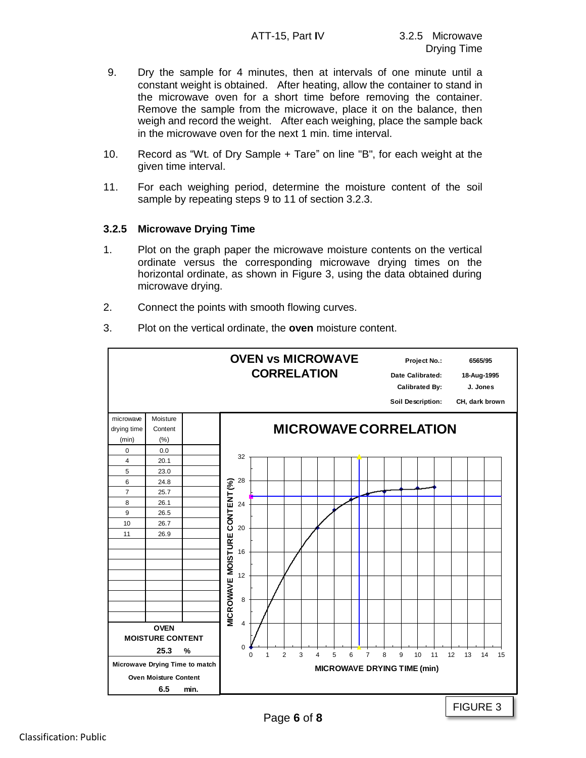- 9. Dry the sample for 4 minutes, then at intervals of one minute until a constant weight is obtained. After heating, allow the container to stand in the microwave oven for a short time before removing the container. Remove the sample from the microwave, place it on the balance, then weigh and record the weight. After each weighing, place the sample back in the microwave oven for the next 1 min. time interval.
- 10. Record as "Wt. of Dry Sample + Tare" on line "B", for each weight at the given time interval.
- 11. For each weighing period, determine the moisture content of the soil sample by repeating steps 9 to 11 of section 3.2.3.

## **3.2.5 Microwave Drying Time**

- 1. Plot on the graph paper the microwave moisture contents on the vertical ordinate versus the corresponding microwave drying times on the horizontal ordinate, as shown in Figure 3, using the data obtained during microwave drying.
- 2. Connect the points with smooth flowing curves.
- 3. Plot on the vertical ordinate, the **oven** moisture content.

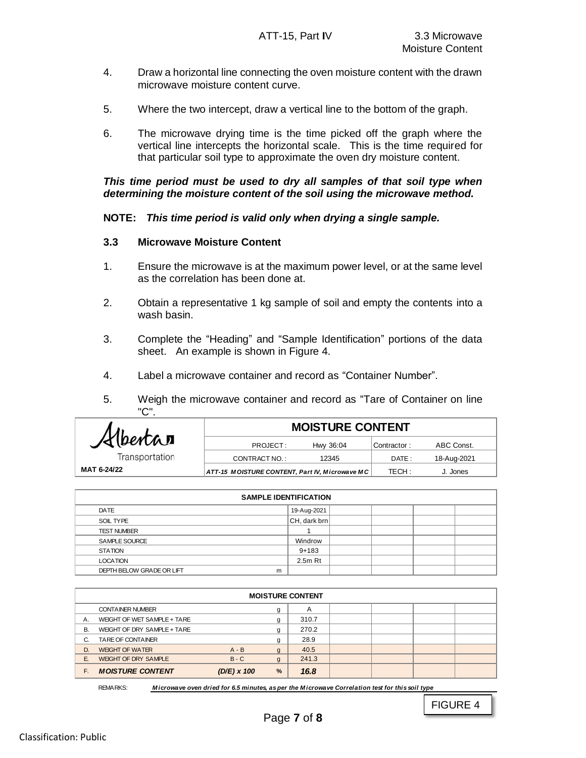- 4. Draw a horizontal line connecting the oven moisture content with the drawn microwave moisture content curve.
- 5. Where the two intercept, draw a vertical line to the bottom of the graph.
- 6. The microwave drying time is the time picked off the graph where the vertical line intercepts the horizontal scale. This is the time required for that particular soil type to approximate the oven dry moisture content.

#### *This time period must be used to dry all samples of that soil type when determining the moisture content of the soil using the microwave method.*

## **NOTE:** *This time period is valid only when drying a single sample.*

#### **3.3 Microwave Moisture Content**

- 1. Ensure the microwave is at the maximum power level, or at the same level as the correlation has been done at.
- 2. Obtain a representative 1 kg sample of soil and empty the contents into a wash basin.
- 3. Complete the "Heading" and "Sample Identification" portions of the data sheet. An example is shown in Figure 4.
- 4. Label a microwave container and record as "Container Number".
- 5. Weigh the microwave container and record as "Tare of Container on line "C".

|                | <b>MOISTURE CONTENT</b>                        |           |             |             |  |  |  |  |
|----------------|------------------------------------------------|-----------|-------------|-------------|--|--|--|--|
| Albertan       | PROJECT:                                       | Hwy 36:04 | Contractor: | ABC Const.  |  |  |  |  |
| Transportation | CONTRACT NO.:                                  | 12345     | DATE:       | 18-Aug-2021 |  |  |  |  |
| MAT 6-24/22    | ATT-15 MOISTURE CONTENT, Part IV, Microwave MC |           | TECH:       | J. Jones    |  |  |  |  |
|                |                                                |           |             |             |  |  |  |  |

| <b>SAMPLE IDENTIFICATION</b> |   |                      |  |  |  |  |  |
|------------------------------|---|----------------------|--|--|--|--|--|
| DATE                         |   | 19-Aug-2021          |  |  |  |  |  |
| SOIL TYPE                    |   | $ $ CH, dark brn $ $ |  |  |  |  |  |
| <b>TEST NUMBER</b>           |   |                      |  |  |  |  |  |
| SAMPLE SOURCE                |   | Windrow              |  |  |  |  |  |
| <b>STATION</b>               |   | $9 + 183$            |  |  |  |  |  |
| <b>LOCATION</b>              |   | $2.5m$ Rt            |  |  |  |  |  |
| DEPTH BELOW GRADE OR LIFT    | m |                      |  |  |  |  |  |

|    | <b>MOISTURE CONTENT</b>     |               |                |                |  |  |  |  |
|----|-----------------------------|---------------|----------------|----------------|--|--|--|--|
|    | <b>CONTAINER NUMBER</b>     |               | g              | $\overline{A}$ |  |  |  |  |
| А. | WEIGHT OF WET SAMPLE + TARE |               | g              | 310.7          |  |  |  |  |
| В. | WEIGHT OF DRY SAMPLE + TARE |               | g              | 270.2          |  |  |  |  |
| C. | TARE OF CONTAINER           |               | g              | 28.9           |  |  |  |  |
| D. | <b>WEIGHT OF WATER</b>      | $A - B$       | g              | 40.5           |  |  |  |  |
| Е. | <b>WEIGHT OF DRY SAMPLE</b> | $B - C$       | $\mathfrak{g}$ | 241.3          |  |  |  |  |
| F. | <b>MOISTURE CONTENT</b>     | $(D/E)$ x 100 | %              | 16.8           |  |  |  |  |

*M icrowave oven dried for 6.5 minutes, as per the M icrowave Correlation test for this soil type* REMARKS:

FIGURE 4